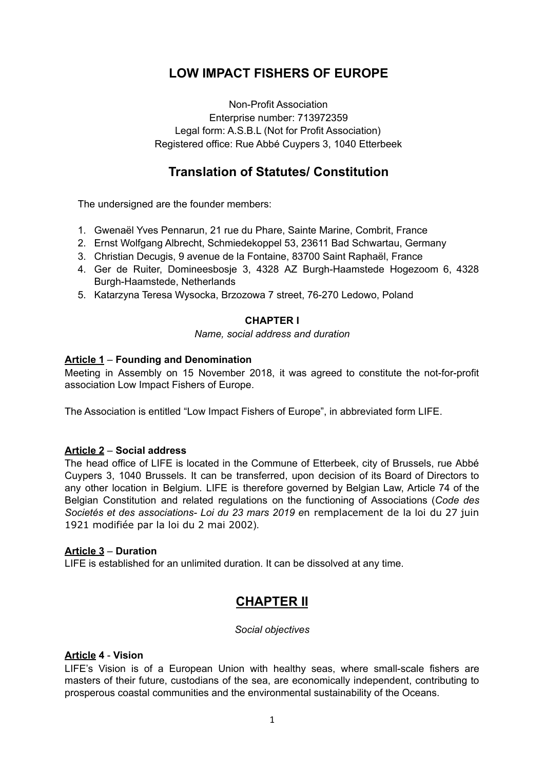# **LOW IMPACT FISHERS OF EUROPE**

Non-Profit Association Enterprise number: 713972359 Legal form: A.S.B.L (Not for Profit Association) Registered office: Rue Abbé Cuypers 3, 1040 Etterbeek

## **Translation of Statutes/ Constitution**

The undersigned are the founder members:

- 1. Gwenaël Yves Pennarun, 21 rue du Phare, Sainte Marine, Combrit, France
- 2. Ernst Wolfgang Albrecht, Schmiedekoppel 53, 23611 Bad Schwartau, Germany
- 3. Christian Decugis, 9 avenue de la Fontaine, 83700 Saint Raphaël, France
- 4. Ger de Ruiter, Domineesbosje 3, 4328 AZ Burgh-Haamstede Hogezoom 6, 4328 Burgh-Haamstede, Netherlands
- 5. Katarzyna Teresa Wysocka, Brzozowa 7 street, 76-270 Ledowo, Poland

### **CHAPTER I**

*Name, social address and duration*

## **Article 1** – **Founding and Denomination**

Meeting in Assembly on 15 November 2018, it was agreed to constitute the not-for-profit association Low Impact Fishers of Europe.

The Association is entitled "Low Impact Fishers of Europe", in abbreviated form LIFE.

### **Article 2** – **Social address**

The head office of LIFE is located in the Commune of Etterbeek, city of Brussels, rue Abbé Cuypers 3, 1040 Brussels. It can be transferred, upon decision of its Board of Directors to any other location in Belgium. LIFE is therefore governed by Belgian Law, Article 74 of the Belgian Constitution and related regulations on the functioning of Associations (*Code des Societés et des associations- Loi du 23 mars 2019 e*n remplacement de la loi du 27 juin 1921 modifiée par la loi du 2 mai 2002).

### **Article 3** – **Duration**

LIFE is established for an unlimited duration. It can be dissolved at any time.

## **CHAPTER II**

#### *Social objectives*

### **Article 4** - **Vision**

LIFE's Vision is of a European Union with healthy seas, where small-scale fishers are masters of their future, custodians of the sea, are economically independent, contributing to prosperous coastal communities and the environmental sustainability of the Oceans.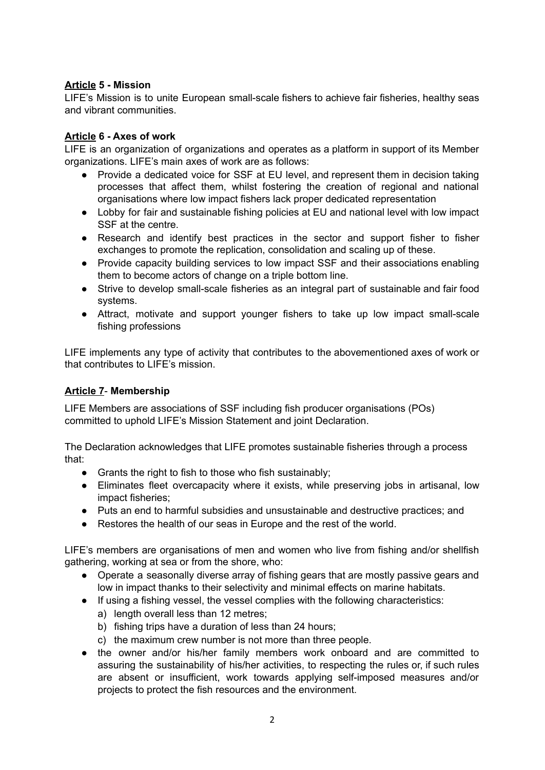## **Article 5 - Mission**

LIFE's Mission is to unite European small-scale fishers to achieve fair fisheries, healthy seas and vibrant communities.

## **Article 6 - Axes of work**

LIFE is an organization of organizations and operates as a platform in support of its Member organizations. LIFE's main axes of work are as follows:

- Provide a dedicated voice for SSF at EU level, and represent them in decision taking processes that affect them, whilst fostering the creation of regional and national organisations where low impact fishers lack proper dedicated representation
- Lobby for fair and sustainable fishing policies at EU and national level with low impact SSF at the centre.
- Research and identify best practices in the sector and support fisher to fisher exchanges to promote the replication, consolidation and scaling up of these.
- Provide capacity building services to low impact SSF and their associations enabling them to become actors of change on a triple bottom line.
- Strive to develop small-scale fisheries as an integral part of sustainable and fair food systems.
- Attract, motivate and support younger fishers to take up low impact small-scale fishing professions

LIFE implements any type of activity that contributes to the abovementioned axes of work or that contributes to LIFE's mission.

## **Article 7**- **Membership**

LIFE Members are associations of SSF including fish producer organisations (POs) committed to uphold LIFE's Mission Statement and joint Declaration.

The Declaration acknowledges that LIFE promotes sustainable fisheries through a process that:

- Grants the right to fish to those who fish sustainably;
- Eliminates fleet overcapacity where it exists, while preserving jobs in artisanal, low impact fisheries;
- Puts an end to harmful subsidies and unsustainable and destructive practices; and
- Restores the health of our seas in Europe and the rest of the world.

LIFE's members are organisations of men and women who live from fishing and/or shellfish gathering, working at sea or from the shore, who:

- Operate a seasonally diverse array of fishing gears that are mostly passive gears and low in impact thanks to their selectivity and minimal effects on marine habitats.
- If using a fishing vessel, the vessel complies with the following characteristics:
	- a) length overall less than 12 metres;
	- b) fishing trips have a duration of less than 24 hours;
	- c) the maximum crew number is not more than three people.
- the owner and/or his/her family members work onboard and are committed to assuring the sustainability of his/her activities, to respecting the rules or, if such rules are absent or insufficient, work towards applying self-imposed measures and/or projects to protect the fish resources and the environment.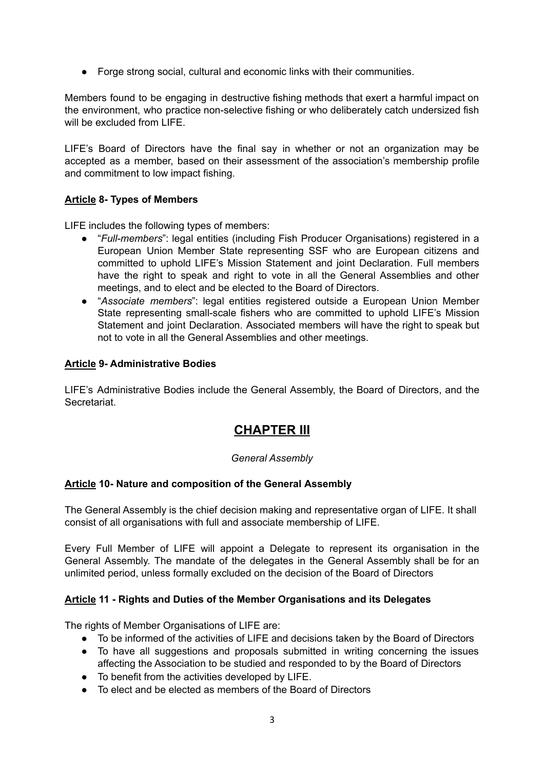● Forge strong social, cultural and economic links with their communities.

Members found to be engaging in destructive fishing methods that exert a harmful impact on the environment, who practice non-selective fishing or who deliberately catch undersized fish will be excluded from LIFE.

LIFE's Board of Directors have the final say in whether or not an organization may be accepted as a member, based on their assessment of the association's membership profile and commitment to low impact fishing.

## **Article 8- Types of Members**

LIFE includes the following types of members:

- "*Full-members*": legal entities (including Fish Producer Organisations) registered in a European Union Member State representing SSF who are European citizens and committed to uphold LIFE's Mission Statement and joint Declaration. Full members have the right to speak and right to vote in all the General Assemblies and other meetings, and to elect and be elected to the Board of Directors.
- "*Associate members*": legal entities registered outside a European Union Member State representing small-scale fishers who are committed to uphold LIFE's Mission Statement and joint Declaration. Associated members will have the right to speak but not to vote in all the General Assemblies and other meetings.

### **Article 9- Administrative Bodies**

LIFE's Administrative Bodies include the General Assembly, the Board of Directors, and the Secretariat.

## **CHAPTER III**

### *General Assembly*

### **Article 10- Nature and composition of the General Assembly**

The General Assembly is the chief decision making and representative organ of LIFE. It shall consist of all organisations with full and associate membership of LIFE.

Every Full Member of LIFE will appoint a Delegate to represent its organisation in the General Assembly. The mandate of the delegates in the General Assembly shall be for an unlimited period, unless formally excluded on the decision of the Board of Directors

### **Article 11 - Rights and Duties of the Member Organisations and its Delegates**

The rights of Member Organisations of LIFE are:

- To be informed of the activities of LIFE and decisions taken by the Board of Directors
- To have all suggestions and proposals submitted in writing concerning the issues affecting the Association to be studied and responded to by the Board of Directors
- To benefit from the activities developed by LIFE.
- To elect and be elected as members of the Board of Directors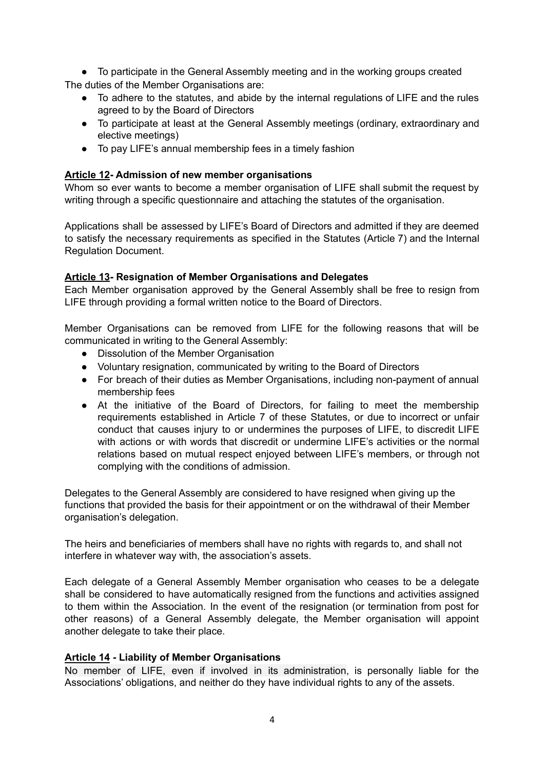● To participate in the General Assembly meeting and in the working groups created The duties of the Member Organisations are:

- To adhere to the statutes, and abide by the internal regulations of LIFE and the rules agreed to by the Board of Directors
- To participate at least at the General Assembly meetings (ordinary, extraordinary and elective meetings)
- To pay LIFE's annual membership fees in a timely fashion

## **Article 12- Admission of new member organisations**

Whom so ever wants to become a member organisation of LIFE shall submit the request by writing through a specific questionnaire and attaching the statutes of the organisation.

Applications shall be assessed by LIFE's Board of Directors and admitted if they are deemed to satisfy the necessary requirements as specified in the Statutes (Article 7) and the Internal Regulation Document.

## **Article 13- Resignation of Member Organisations and Delegates**

Each Member organisation approved by the General Assembly shall be free to resign from LIFE through providing a formal written notice to the Board of Directors.

Member Organisations can be removed from LIFE for the following reasons that will be communicated in writing to the General Assembly:

- Dissolution of the Member Organisation
- Voluntary resignation, communicated by writing to the Board of Directors
- For breach of their duties as Member Organisations, including non-payment of annual membership fees
- At the initiative of the Board of Directors, for failing to meet the membership requirements established in Article 7 of these Statutes, or due to incorrect or unfair conduct that causes injury to or undermines the purposes of LIFE, to discredit LIFE with actions or with words that discredit or undermine LIFE's activities or the normal relations based on mutual respect enjoyed between LIFE's members, or through not complying with the conditions of admission.

Delegates to the General Assembly are considered to have resigned when giving up the functions that provided the basis for their appointment or on the withdrawal of their Member organisation's delegation.

The heirs and beneficiaries of members shall have no rights with regards to, and shall not interfere in whatever way with, the association's assets.

Each delegate of a General Assembly Member organisation who ceases to be a delegate shall be considered to have automatically resigned from the functions and activities assigned to them within the Association. In the event of the resignation (or termination from post for other reasons) of a General Assembly delegate, the Member organisation will appoint another delegate to take their place.

### **Article 14 - Liability of Member Organisations**

No member of LIFE, even if involved in its administration, is personally liable for the Associations' obligations, and neither do they have individual rights to any of the assets.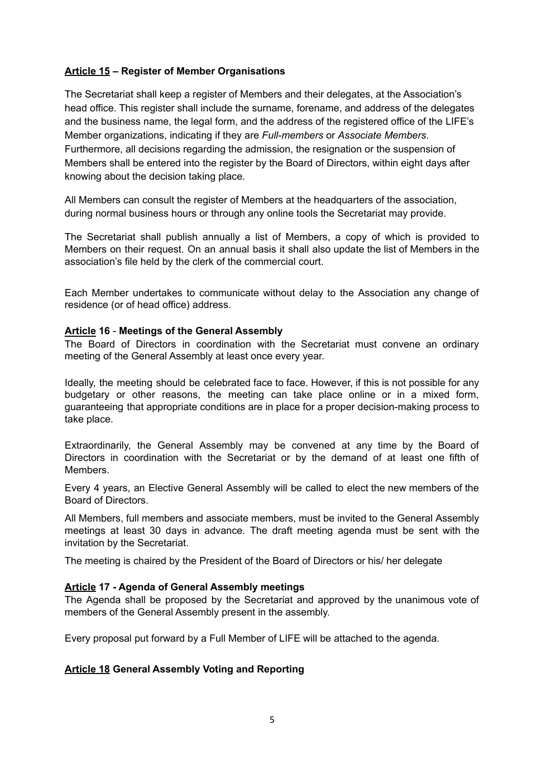## **Article 15 – Register of Member Organisations**

The Secretariat shall keep a register of Members and their delegates, at the Association's head office. This register shall include the surname, forename, and address of the delegates and the business name, the legal form, and the address of the registered office of the LIFE's Member organizations, indicating if they are *Full-members* or *Associate Members*. Furthermore, all decisions regarding the admission, the resignation or the suspension of Members shall be entered into the register by the Board of Directors, within eight days after knowing about the decision taking place.

All Members can consult the register of Members at the headquarters of the association, during normal business hours or through any online tools the Secretariat may provide.

The Secretariat shall publish annually a list of Members, a copy of which is provided to Members on their request. On an annual basis it shall also update the list of Members in the association's file held by the clerk of the commercial court.

Each Member undertakes to communicate without delay to the Association any change of residence (or of head office) address.

### **Article 16** - **Meetings of the General Assembly**

The Board of Directors in coordination with the Secretariat must convene an ordinary meeting of the General Assembly at least once every year.

Ideally, the meeting should be celebrated face to face. However, if this is not possible for any budgetary or other reasons, the meeting can take place online or in a mixed form, guaranteeing that appropriate conditions are in place for a proper decision-making process to take place.

Extraordinarily, the General Assembly may be convened at any time by the Board of Directors in coordination with the Secretariat or by the demand of at least one fifth of **Members** 

Every 4 years, an Elective General Assembly will be called to elect the new members of the Board of Directors.

All Members, full members and associate members, must be invited to the General Assembly meetings at least 30 days in advance. The draft meeting agenda must be sent with the invitation by the Secretariat.

The meeting is chaired by the President of the Board of Directors or his/ her delegate

### **Article 17 - Agenda of General Assembly meetings**

The Agenda shall be proposed by the Secretariat and approved by the unanimous vote of members of the General Assembly present in the assembly.

Every proposal put forward by a Full Member of LIFE will be attached to the agenda.

### **Article 18 General Assembly Voting and Reporting**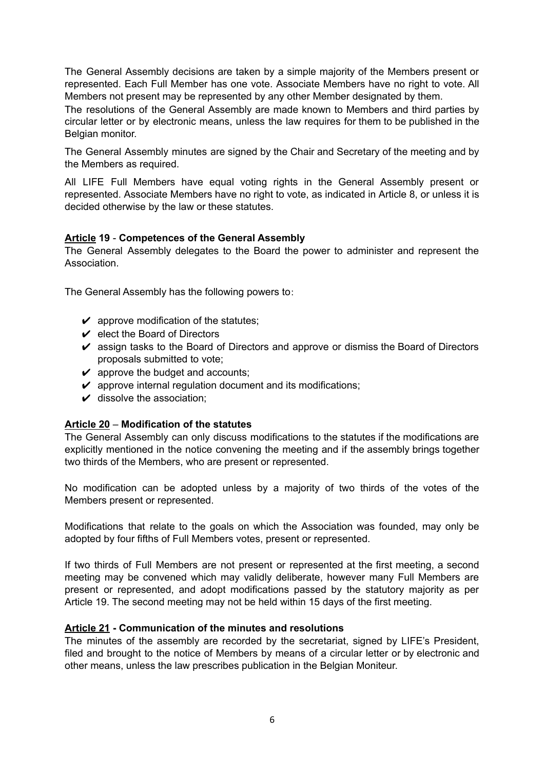The General Assembly decisions are taken by a simple majority of the Members present or represented. Each Full Member has one vote. Associate Members have no right to vote. All Members not present may be represented by any other Member designated by them.

The resolutions of the General Assembly are made known to Members and third parties by circular letter or by electronic means, unless the law requires for them to be published in the Belgian monitor.

The General Assembly minutes are signed by the Chair and Secretary of the meeting and by the Members as required.

All LIFE Full Members have equal voting rights in the General Assembly present or represented. Associate Members have no right to vote, as indicated in Article 8, or unless it is decided otherwise by the law or these statutes.

## **Article 19** - **Competences of the General Assembly**

The General Assembly delegates to the Board the power to administer and represent the Association.

The General Assembly has the following powers to:

- $\mathcal V$  approve modification of the statutes;
- $\vee$  elect the Board of Directors
- $\triangleright$  assign tasks to the Board of Directors and approve or dismiss the Board of Directors proposals submitted to vote;
- $\vee$  approve the budget and accounts;
- $\triangleright$  approve internal regulation document and its modifications;
- $\boldsymbol{\nu}$  dissolve the association;

## **Article 20** – **Modification of the statutes**

The General Assembly can only discuss modifications to the statutes if the modifications are explicitly mentioned in the notice convening the meeting and if the assembly brings together two thirds of the Members, who are present or represented.

No modification can be adopted unless by a majority of two thirds of the votes of the Members present or represented.

Modifications that relate to the goals on which the Association was founded, may only be adopted by four fifths of Full Members votes, present or represented.

If two thirds of Full Members are not present or represented at the first meeting, a second meeting may be convened which may validly deliberate, however many Full Members are present or represented, and adopt modifications passed by the statutory majority as per Article 19. The second meeting may not be held within 15 days of the first meeting.

### **Article 21 - Communication of the minutes and resolutions**

The minutes of the assembly are recorded by the secretariat, signed by LIFE's President, filed and brought to the notice of Members by means of a circular letter or by electronic and other means, unless the law prescribes publication in the Belgian Moniteur.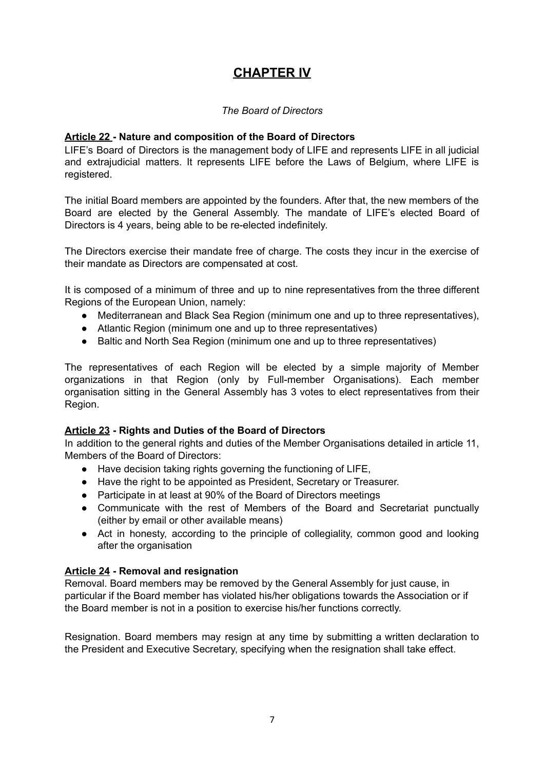# **CHAPTER IV**

## *The Board of Directors*

## **Article 22 - Nature and composition of the Board of Directors**

LIFE's Board of Directors is the management body of LIFE and represents LIFE in all judicial and extrajudicial matters. It represents LIFE before the Laws of Belgium, where LIFE is registered.

The initial Board members are appointed by the founders. After that, the new members of the Board are elected by the General Assembly. The mandate of LIFE's elected Board of Directors is 4 years, being able to be re-elected indefinitely.

The Directors exercise their mandate free of charge. The costs they incur in the exercise of their mandate as Directors are compensated at cost.

It is composed of a minimum of three and up to nine representatives from the three different Regions of the European Union, namely:

- Mediterranean and Black Sea Region (minimum one and up to three representatives),
- Atlantic Region (minimum one and up to three representatives)
- Baltic and North Sea Region (minimum one and up to three representatives)

The representatives of each Region will be elected by a simple majority of Member organizations in that Region (only by Full-member Organisations). Each member organisation sitting in the General Assembly has 3 votes to elect representatives from their Region.

### **Article 23 - Rights and Duties of the Board of Directors**

In addition to the general rights and duties of the Member Organisations detailed in article 11, Members of the Board of Directors:

- Have decision taking rights governing the functioning of LIFE,
- Have the right to be appointed as President, Secretary or Treasurer.
- Participate in at least at 90% of the Board of Directors meetings
- Communicate with the rest of Members of the Board and Secretariat punctually (either by email or other available means)
- Act in honesty, according to the principle of collegiality, common good and looking after the organisation

## **Article 24 - Removal and resignation**

Removal. Board members may be removed by the General Assembly for just cause, in particular if the Board member has violated his/her obligations towards the Association or if the Board member is not in a position to exercise his/her functions correctly.

Resignation. Board members may resign at any time by submitting a written declaration to the President and Executive Secretary, specifying when the resignation shall take effect.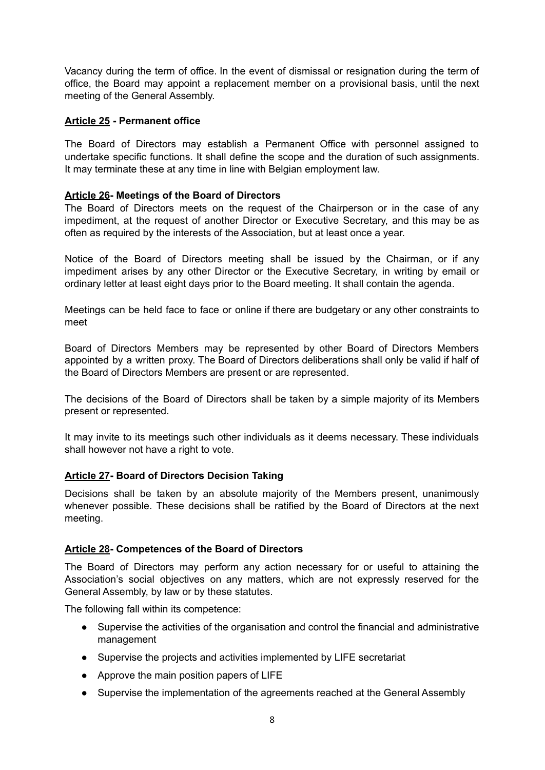Vacancy during the term of office. In the event of dismissal or resignation during the term of office, the Board may appoint a replacement member on a provisional basis, until the next meeting of the General Assembly.

## **Article 25 - Permanent office**

The Board of Directors may establish a Permanent Office with personnel assigned to undertake specific functions. It shall define the scope and the duration of such assignments. It may terminate these at any time in line with Belgian employment law.

## **Article 26- Meetings of the Board of Directors**

The Board of Directors meets on the request of the Chairperson or in the case of any impediment, at the request of another Director or Executive Secretary, and this may be as often as required by the interests of the Association, but at least once a year.

Notice of the Board of Directors meeting shall be issued by the Chairman, or if any impediment arises by any other Director or the Executive Secretary, in writing by email or ordinary letter at least eight days prior to the Board meeting. It shall contain the agenda.

Meetings can be held face to face or online if there are budgetary or any other constraints to meet

Board of Directors Members may be represented by other Board of Directors Members appointed by a written proxy. The Board of Directors deliberations shall only be valid if half of the Board of Directors Members are present or are represented.

The decisions of the Board of Directors shall be taken by a simple majority of its Members present or represented.

It may invite to its meetings such other individuals as it deems necessary. These individuals shall however not have a right to vote.

## **Article 27- Board of Directors Decision Taking**

Decisions shall be taken by an absolute majority of the Members present, unanimously whenever possible. These decisions shall be ratified by the Board of Directors at the next meeting.

### **Article 28- Competences of the Board of Directors**

The Board of Directors may perform any action necessary for or useful to attaining the Association's social objectives on any matters, which are not expressly reserved for the General Assembly, by law or by these statutes.

The following fall within its competence:

- Supervise the activities of the organisation and control the financial and administrative management
- Supervise the projects and activities implemented by LIFE secretariat
- Approve the main position papers of LIFE
- Supervise the implementation of the agreements reached at the General Assembly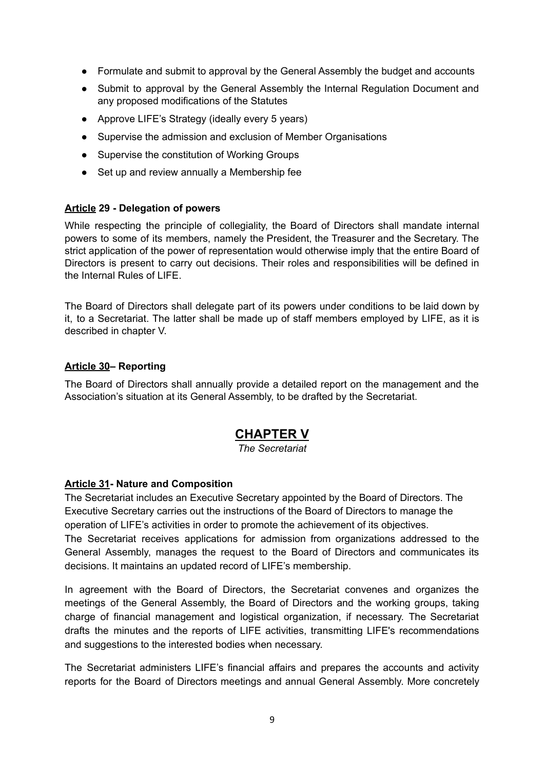- Formulate and submit to approval by the General Assembly the budget and accounts
- Submit to approval by the General Assembly the Internal Regulation Document and any proposed modifications of the Statutes
- Approve LIFE's Strategy (ideally every 5 years)
- Supervise the admission and exclusion of Member Organisations
- Supervise the constitution of Working Groups
- Set up and review annually a Membership fee

### **Article 29 - Delegation of powers**

While respecting the principle of collegiality, the Board of Directors shall mandate internal powers to some of its members, namely the President, the Treasurer and the Secretary. The strict application of the power of representation would otherwise imply that the entire Board of Directors is present to carry out decisions. Their roles and responsibilities will be defined in the Internal Rules of LIFE.

The Board of Directors shall delegate part of its powers under conditions to be laid down by it, to a Secretariat. The latter shall be made up of staff members employed by LIFE, as it is described in chapter V.

## **Article 30– Reporting**

The Board of Directors shall annually provide a detailed report on the management and the Association's situation at its General Assembly, to be drafted by the Secretariat.

# **CHAPTER V**

*The Secretariat*

### **Article 31- Nature and Composition**

The Secretariat includes an Executive Secretary appointed by the Board of Directors. The Executive Secretary carries out the instructions of the Board of Directors to manage the operation of LIFE's activities in order to promote the achievement of its objectives.

The Secretariat receives applications for admission from organizations addressed to the General Assembly, manages the request to the Board of Directors and communicates its decisions. It maintains an updated record of LIFE's membership.

In agreement with the Board of Directors, the Secretariat convenes and organizes the meetings of the General Assembly, the Board of Directors and the working groups, taking charge of financial management and logistical organization, if necessary. The Secretariat drafts the minutes and the reports of LIFE activities, transmitting LIFE's recommendations and suggestions to the interested bodies when necessary.

The Secretariat administers LIFE's financial affairs and prepares the accounts and activity reports for the Board of Directors meetings and annual General Assembly. More concretely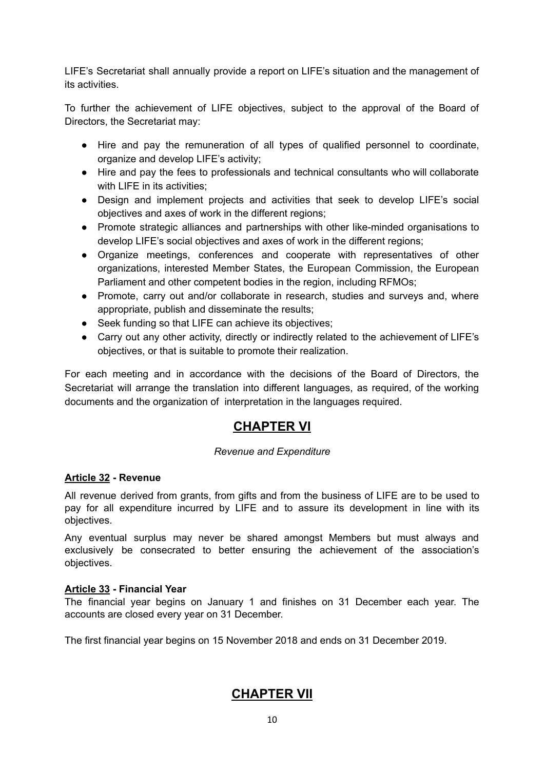LIFE's Secretariat shall annually provide a report on LIFE's situation and the management of its activities.

To further the achievement of LIFE objectives, subject to the approval of the Board of Directors, the Secretariat may:

- Hire and pay the remuneration of all types of qualified personnel to coordinate, organize and develop LIFE's activity;
- Hire and pay the fees to professionals and technical consultants who will collaborate with LIFE in its activities:
- Design and implement projects and activities that seek to develop LIFE's social objectives and axes of work in the different regions;
- Promote strategic alliances and partnerships with other like-minded organisations to develop LIFE's social objectives and axes of work in the different regions;
- Organize meetings, conferences and cooperate with representatives of other organizations, interested Member States, the European Commission, the European Parliament and other competent bodies in the region, including RFMOs;
- Promote, carry out and/or collaborate in research, studies and surveys and, where appropriate, publish and disseminate the results;
- Seek funding so that LIFE can achieve its objectives;
- Carry out any other activity, directly or indirectly related to the achievement of LIFE's objectives, or that is suitable to promote their realization.

For each meeting and in accordance with the decisions of the Board of Directors, the Secretariat will arrange the translation into different languages, as required, of the working documents and the organization of interpretation in the languages required.

# **CHAPTER VI**

## *Revenue and Expenditure*

## **Article 32 - Revenue**

All revenue derived from grants, from gifts and from the business of LIFE are to be used to pay for all expenditure incurred by LIFE and to assure its development in line with its objectives.

Any eventual surplus may never be shared amongst Members but must always and exclusively be consecrated to better ensuring the achievement of the association's objectives.

## **Article 33 - Financial Year**

The financial year begins on January 1 and finishes on 31 December each year. The accounts are closed every year on 31 December.

The first financial year begins on 15 November 2018 and ends on 31 December 2019.

# **CHAPTER VII**